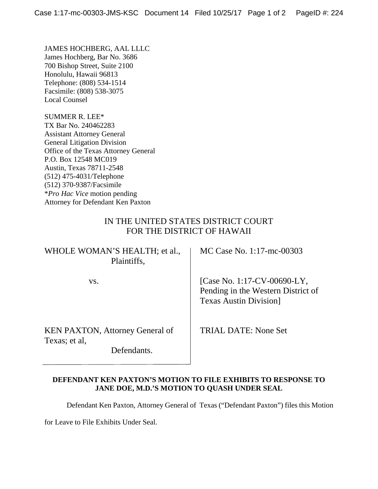JAMES HOCHBERG, AAL LLLC James Hochberg, Bar No. 3686 700 Bishop Street, Suite 2100 Honolulu, Hawaii 96813 Telephone: (808) 534-1514 Facsimile: (808) 538-3075 Local Counsel

SUMMER R. LEE\* TX Bar No. 240462283 Assistant Attorney General General Litigation Division Office of the Texas Attorney General P.O. Box 12548 MC019 Austin, Texas 78711-2548 (512) 475-4031/Telephone (512) 370-9387/Facsimile \**Pro Hac Vice* motion pending Attorney for Defendant Ken Paxton

## IN THE UNITED STATES DISTRICT COURT FOR THE DISTRICT OF HAWAII

| WHOLE WOMAN'S HEALTH; et al.,<br>Plaintiffs,                           | MC Case No. 1:17-mc-00303                                                                           |
|------------------------------------------------------------------------|-----------------------------------------------------------------------------------------------------|
| VS.                                                                    | [Case No. 1:17-CV-00690-LY,<br>Pending in the Western District of<br><b>Texas Austin Division</b> ] |
| <b>KEN PAXTON, Attorney General of</b><br>Texas; et al,<br>Defendants. | TRIAL DATE: None Set                                                                                |

## **DEFENDANT KEN PAXTON'S MOTION TO FILE EXHIBITS TO RESPONSE TO JANE DOE, M.D.'S MOTION TO QUASH UNDER SEAL**

Defendant Ken Paxton, Attorney General of Texas ("Defendant Paxton") files this Motion

for Leave to File Exhibits Under Seal.